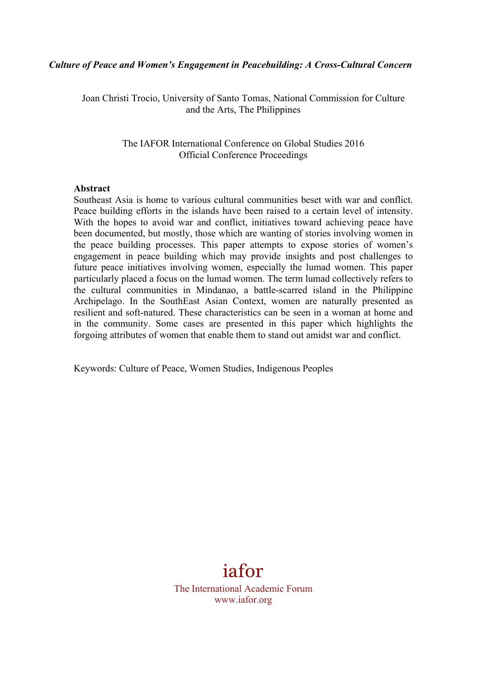#### *Culture of Peace and Women's Engagement in Peacebuilding: A Cross-Cultural Concern*

Joan Christi Trocio, University of Santo Tomas, National Commission for Culture and the Arts, The Philippines

> The IAFOR International Conference on Global Studies 2016 Official Conference Proceedings

#### **Abstract**

Southeast Asia is home to various cultural communities beset with war and conflict. Peace building efforts in the islands have been raised to a certain level of intensity. With the hopes to avoid war and conflict, initiatives toward achieving peace have been documented, but mostly, those which are wanting of stories involving women in the peace building processes. This paper attempts to expose stories of women's engagement in peace building which may provide insights and post challenges to future peace initiatives involving women, especially the lumad women. This paper particularly placed a focus on the lumad women. The term lumad collectively refers to the cultural communities in Mindanao, a battle-scarred island in the Philippine Archipelago. In the SouthEast Asian Context, women are naturally presented as resilient and soft-natured. These characteristics can be seen in a woman at home and in the community. Some cases are presented in this paper which highlights the forgoing attributes of women that enable them to stand out amidst war and conflict.

Keywords: Culture of Peace, Women Studies, Indigenous Peoples

# iafor

The International Academic Forum www.iafor.org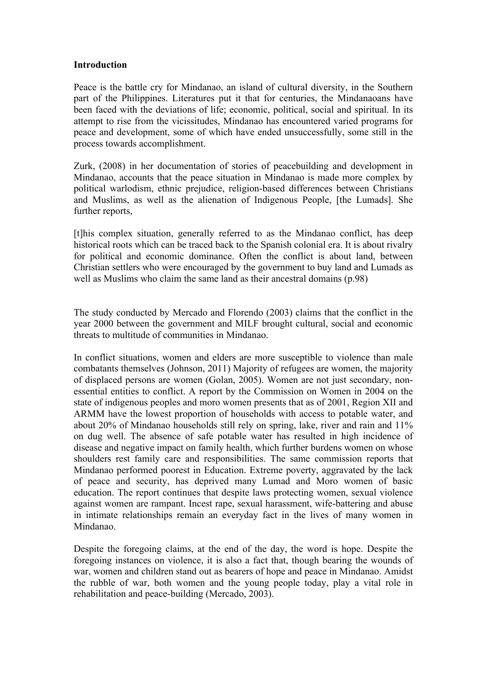### **Introduction**

Peace is the battle cry for Mindanao, an island of cultural diversity, in the Southern part of the Philippines. Literatures put it that for centuries, the Mindanaoans have been faced with the deviations of life; economic, political, social and spiritual. In its attempt to rise from the vicissitudes, Mindanao has encountered varied programs for peace and development, some of which have ended unsuccessfully, some still in the process towards accomplishment.

Zurk, (2008) in her documentation of stories of peacebuilding and development in Mindanao, accounts that the peace situation in Mindanao is made more complex by political warlodism, ethnic prejudice, religion-based differences between Christians and Muslims, as well as the alienation of Indigenous People, [the Lumads]. She further reports,

[t]his complex situation, generally referred to as the Mindanao conflict, has deep historical roots which can be traced back to the Spanish colonial era. It is about rivalry for political and economic dominance. Often the conflict is about land, between Christian settlers who were encouraged by the government to buy land and Lumads as well as Muslims who claim the same land as their ancestral domains (p.98)

The study conducted by Mercado and Florendo (2003) claims that the conflict in the year 2000 between the government and MILF brought cultural, social and economic threats to multitude of communities in Mindanao.

In conflict situations, women and elders are more susceptible to violence than male combatants themselves (Johnson, 2011) Majority of refugees are women, the majority of displaced persons are women (Golan, 2005). Women are not just secondary, nonessential entities to conflict. A report by the Commission on Women in 2004 on the state of indigenous peoples and moro women presents that as of 2001, Region XII and ARMM have the lowest proportion of households with access to potable water, and about 20% of Mindanao households still rely on spring, lake, river and rain and 11% on dug well. The absence of safe potable water has resulted in high incidence of disease and negative impact on family health, which further burdens women on whose shoulders rest family care and responsibilities. The same commission reports that Mindanao performed poorest in Education. Extreme poverty, aggravated by the lack of peace and security, has deprived many Lumad and Moro women of basic education. The report continues that despite laws protecting women, sexual violence against women are rampant. Incest rape, sexual harassment, wife-battering and abuse in intimate relationships remain an everyday fact in the lives of many women in Mindanao.

Despite the foregoing claims, at the end of the day, the word is hope. Despite the foregoing instances on violence, it is also a fact that, though bearing the wounds of war, women and children stand out as bearers of hope and peace in Mindanao. Amidst the rubble of war, both women and the young people today, play a vital role in rehabilitation and peace-building (Mercado, 2003).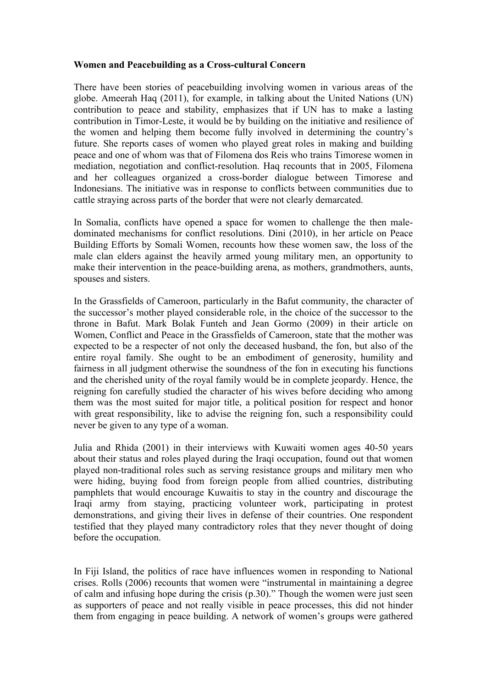# **Women and Peacebuilding as a Cross-cultural Concern**

There have been stories of peacebuilding involving women in various areas of the globe. Ameerah Haq (2011), for example, in talking about the United Nations (UN) contribution to peace and stability, emphasizes that if UN has to make a lasting contribution in Timor-Leste, it would be by building on the initiative and resilience of the women and helping them become fully involved in determining the country's future. She reports cases of women who played great roles in making and building peace and one of whom was that of Filomena dos Reis who trains Timorese women in mediation, negotiation and conflict-resolution. Haq recounts that in 2005, Filomena and her colleagues organized a cross-border dialogue between Timorese and Indonesians. The initiative was in response to conflicts between communities due to cattle straying across parts of the border that were not clearly demarcated.

In Somalia, conflicts have opened a space for women to challenge the then maledominated mechanisms for conflict resolutions. Dini (2010), in her article on Peace Building Efforts by Somali Women, recounts how these women saw, the loss of the male clan elders against the heavily armed young military men, an opportunity to make their intervention in the peace-building arena, as mothers, grandmothers, aunts, spouses and sisters.

In the Grassfields of Cameroon, particularly in the Bafut community, the character of the successor's mother played considerable role, in the choice of the successor to the throne in Bafut. Mark Bolak Funteh and Jean Gormo (2009) in their article on Women, Conflict and Peace in the Grassfields of Cameroon, state that the mother was expected to be a respecter of not only the deceased husband, the fon, but also of the entire royal family. She ought to be an embodiment of generosity, humility and fairness in all judgment otherwise the soundness of the fon in executing his functions and the cherished unity of the royal family would be in complete jeopardy. Hence, the reigning fon carefully studied the character of his wives before deciding who among them was the most suited for major title, a political position for respect and honor with great responsibility, like to advise the reigning fon, such a responsibility could never be given to any type of a woman.

Julia and Rhida (2001) in their interviews with Kuwaiti women ages 40-50 years about their status and roles played during the Iraqi occupation, found out that women played non-traditional roles such as serving resistance groups and military men who were hiding, buying food from foreign people from allied countries, distributing pamphlets that would encourage Kuwaitis to stay in the country and discourage the Iraqi army from staying, practicing volunteer work, participating in protest demonstrations, and giving their lives in defense of their countries. One respondent testified that they played many contradictory roles that they never thought of doing before the occupation.

In Fiji Island, the politics of race have influences women in responding to National crises. Rolls (2006) recounts that women were "instrumental in maintaining a degree of calm and infusing hope during the crisis (p.30)." Though the women were just seen as supporters of peace and not really visible in peace processes, this did not hinder them from engaging in peace building. A network of women's groups were gathered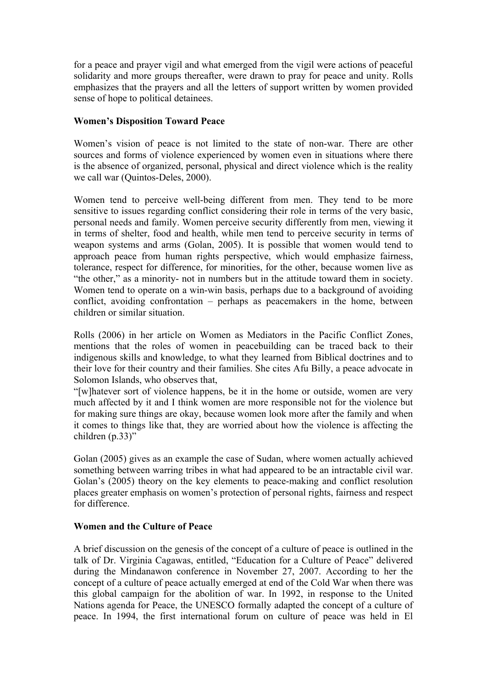for a peace and prayer vigil and what emerged from the vigil were actions of peaceful solidarity and more groups thereafter, were drawn to pray for peace and unity. Rolls emphasizes that the prayers and all the letters of support written by women provided sense of hope to political detainees.

# **Women's Disposition Toward Peace**

Women's vision of peace is not limited to the state of non-war. There are other sources and forms of violence experienced by women even in situations where there is the absence of organized, personal, physical and direct violence which is the reality we call war (Quintos-Deles, 2000).

Women tend to perceive well-being different from men. They tend to be more sensitive to issues regarding conflict considering their role in terms of the very basic, personal needs and family. Women perceive security differently from men, viewing it in terms of shelter, food and health, while men tend to perceive security in terms of weapon systems and arms (Golan, 2005). It is possible that women would tend to approach peace from human rights perspective, which would emphasize fairness, tolerance, respect for difference, for minorities, for the other, because women live as "the other," as a minority- not in numbers but in the attitude toward them in society. Women tend to operate on a win-win basis, perhaps due to a background of avoiding conflict, avoiding confrontation – perhaps as peacemakers in the home, between children or similar situation.

Rolls (2006) in her article on Women as Mediators in the Pacific Conflict Zones, mentions that the roles of women in peacebuilding can be traced back to their indigenous skills and knowledge, to what they learned from Biblical doctrines and to their love for their country and their families. She cites Afu Billy, a peace advocate in Solomon Islands, who observes that,

"[w]hatever sort of violence happens, be it in the home or outside, women are very much affected by it and I think women are more responsible not for the violence but for making sure things are okay, because women look more after the family and when it comes to things like that, they are worried about how the violence is affecting the children (p.33)"

Golan (2005) gives as an example the case of Sudan, where women actually achieved something between warring tribes in what had appeared to be an intractable civil war. Golan's (2005) theory on the key elements to peace-making and conflict resolution places greater emphasis on women's protection of personal rights, fairness and respect for difference.

### **Women and the Culture of Peace**

A brief discussion on the genesis of the concept of a culture of peace is outlined in the talk of Dr. Virginia Cagawas, entitled, "Education for a Culture of Peace" delivered during the Mindanawon conference in November 27, 2007. According to her the concept of a culture of peace actually emerged at end of the Cold War when there was this global campaign for the abolition of war. In 1992, in response to the United Nations agenda for Peace, the UNESCO formally adapted the concept of a culture of peace. In 1994, the first international forum on culture of peace was held in El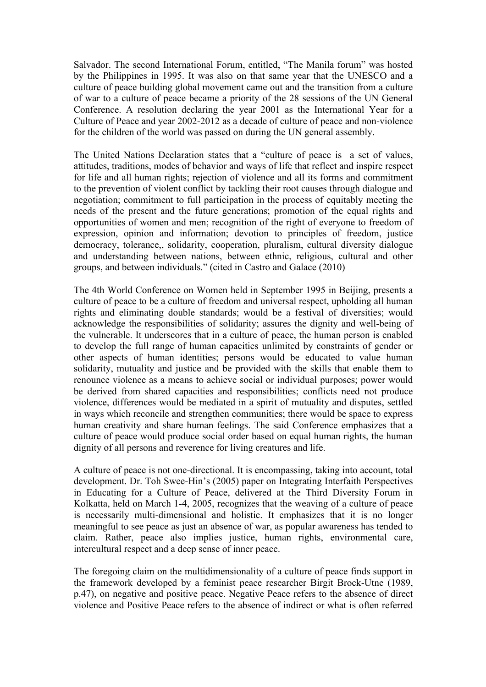Salvador. The second International Forum, entitled, "The Manila forum" was hosted by the Philippines in 1995. It was also on that same year that the UNESCO and a culture of peace building global movement came out and the transition from a culture of war to a culture of peace became a priority of the 28 sessions of the UN General Conference. A resolution declaring the year 2001 as the International Year for a Culture of Peace and year 2002-2012 as a decade of culture of peace and non-violence for the children of the world was passed on during the UN general assembly.

The United Nations Declaration states that a "culture of peace is a set of values, attitudes, traditions, modes of behavior and ways of life that reflect and inspire respect for life and all human rights; rejection of violence and all its forms and commitment to the prevention of violent conflict by tackling their root causes through dialogue and negotiation; commitment to full participation in the process of equitably meeting the needs of the present and the future generations; promotion of the equal rights and opportunities of women and men; recognition of the right of everyone to freedom of expression, opinion and information; devotion to principles of freedom, justice democracy, tolerance,, solidarity, cooperation, pluralism, cultural diversity dialogue and understanding between nations, between ethnic, religious, cultural and other groups, and between individuals." (cited in Castro and Galace (2010)

The 4th World Conference on Women held in September 1995 in Beijing, presents a culture of peace to be a culture of freedom and universal respect, upholding all human rights and eliminating double standards; would be a festival of diversities; would acknowledge the responsibilities of solidarity; assures the dignity and well-being of the vulnerable. It underscores that in a culture of peace, the human person is enabled to develop the full range of human capacities unlimited by constraints of gender or other aspects of human identities; persons would be educated to value human solidarity, mutuality and justice and be provided with the skills that enable them to renounce violence as a means to achieve social or individual purposes; power would be derived from shared capacities and responsibilities; conflicts need not produce violence, differences would be mediated in a spirit of mutuality and disputes, settled in ways which reconcile and strengthen communities; there would be space to express human creativity and share human feelings. The said Conference emphasizes that a culture of peace would produce social order based on equal human rights, the human dignity of all persons and reverence for living creatures and life.

A culture of peace is not one-directional. It is encompassing, taking into account, total development. Dr. Toh Swee-Hin's (2005) paper on Integrating Interfaith Perspectives in Educating for a Culture of Peace, delivered at the Third Diversity Forum in Kolkatta, held on March 1-4, 2005, recognizes that the weaving of a culture of peace is necessarily multi-dimensional and holistic. It emphasizes that it is no longer meaningful to see peace as just an absence of war, as popular awareness has tended to claim. Rather, peace also implies justice, human rights, environmental care, intercultural respect and a deep sense of inner peace.

The foregoing claim on the multidimensionality of a culture of peace finds support in the framework developed by a feminist peace researcher Birgit Brock-Utne (1989, p.47), on negative and positive peace. Negative Peace refers to the absence of direct violence and Positive Peace refers to the absence of indirect or what is often referred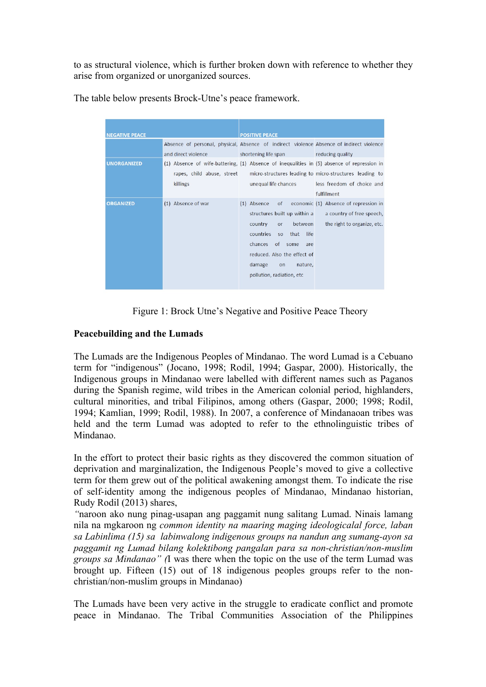to as structural violence, which is further broken down with reference to whether they arise from organized or unorganized sources.

| <b>NEGATIVE PEACE</b><br><b>UNORGANIZED</b> | and direct violence                    | <b>POSITIVE PEACE</b><br>Absence of personal, physical, Absence of indirect violence Absence of indirect violence<br>shortening life span by reducing quality<br>(1) Absence of wife-battering, (1) Absence of inequalities in (5) absence of repression in |                                                                                                      |
|---------------------------------------------|----------------------------------------|-------------------------------------------------------------------------------------------------------------------------------------------------------------------------------------------------------------------------------------------------------------|------------------------------------------------------------------------------------------------------|
|                                             | rapes, child abuse, street<br>killings | unequal life chances                                                                                                                                                                                                                                        | micro-structures leading to micro-structures leading to<br>less freedom of choice and<br>fulfillment |
| <b>ORGANIZED</b>                            | (1) Absence of war                     | (1) Absence<br>structures built up within a<br>between<br>country<br><b>or</b><br>countries<br>that<br>life<br>SO <sub>2</sub><br>chances of some<br>are<br>reduced. Also the effect of<br>damage<br>nature,<br>on<br>pollution, radiation, etc             | of economic (1) Absence of repression in<br>a country of free speech,<br>the right to organize, etc. |

The table below presents Brock-Utne's peace framework.

Figure 1: Brock Utne's Negative and Positive Peace Theory

# **Peacebuilding and the Lumads**

The Lumads are the Indigenous Peoples of Mindanao. The word Lumad is a Cebuano term for "indigenous" (Jocano, 1998; Rodil, 1994; Gaspar, 2000). Historically, the Indigenous groups in Mindanao were labelled with different names such as Paganos during the Spanish regime, wild tribes in the American colonial period, highlanders, cultural minorities, and tribal Filipinos, among others (Gaspar, 2000; 1998; Rodil, 1994; Kamlian, 1999; Rodil, 1988). In 2007, a conference of Mindanaoan tribes was held and the term Lumad was adopted to refer to the ethnolinguistic tribes of Mindanao.

In the effort to protect their basic rights as they discovered the common situation of deprivation and marginalization, the Indigenous People's moved to give a collective term for them grew out of the political awakening amongst them. To indicate the rise of self-identity among the indigenous peoples of Mindanao, Mindanao historian, Rudy Rodil (2013) shares,

*"*naroon ako nung pinag-usapan ang paggamit nung salitang Lumad. Ninais lamang nila na mgkaroon ng *common identity na maaring maging ideologicalal force, laban sa Labinlima (15) sa labinwalong indigenous groups na nandun ang sumang-ayon sa paggamit ng Lumad bilang kolektibong pangalan para sa non-christian/non-muslim groups sa Mindanao" (*I was there when the topic on the use of the term Lumad was brought up. Fifteen (15) out of 18 indigenous peoples groups refer to the nonchristian/non-muslim groups in Mindanao)

The Lumads have been very active in the struggle to eradicate conflict and promote peace in Mindanao. The Tribal Communities Association of the Philippines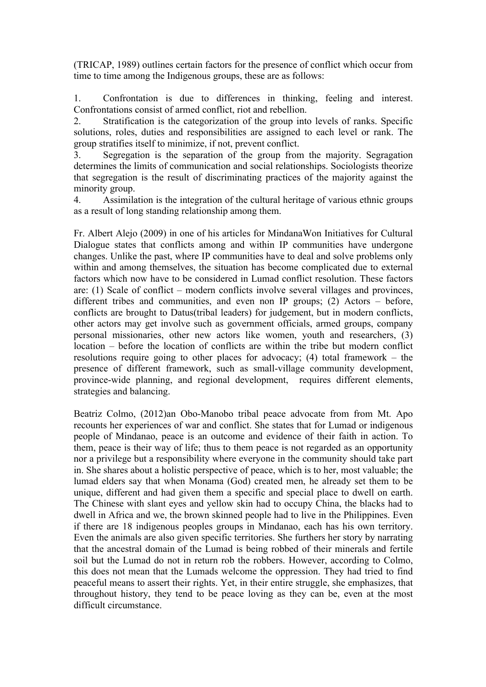(TRICAP, 1989) outlines certain factors for the presence of conflict which occur from time to time among the Indigenous groups, these are as follows:

1. Confrontation is due to differences in thinking, feeling and interest. Confrontations consist of armed conflict, riot and rebellion.

2. Stratification is the categorization of the group into levels of ranks. Specific solutions, roles, duties and responsibilities are assigned to each level or rank. The group stratifies itself to minimize, if not, prevent conflict.

3. Segregation is the separation of the group from the majority. Segragation determines the limits of communication and social relationships. Sociologists theorize that segregation is the result of discriminating practices of the majority against the minority group.

4. Assimilation is the integration of the cultural heritage of various ethnic groups as a result of long standing relationship among them.

Fr. Albert Alejo (2009) in one of his articles for MindanaWon Initiatives for Cultural Dialogue states that conflicts among and within IP communities have undergone changes. Unlike the past, where IP communities have to deal and solve problems only within and among themselves, the situation has become complicated due to external factors which now have to be considered in Lumad conflict resolution. These factors are: (1) Scale of conflict – modern conflicts involve several villages and provinces, different tribes and communities, and even non IP groups; (2) Actors – before, conflicts are brought to Datus(tribal leaders) for judgement, but in modern conflicts, other actors may get involve such as government officials, armed groups, company personal missionaries, other new actors like women, youth and researchers, (3) location – before the location of conflicts are within the tribe but modern conflict resolutions require going to other places for advocacy; (4) total framework – the presence of different framework, such as small-village community development, province-wide planning, and regional development, requires different elements, strategies and balancing.

Beatriz Colmo, (2012)an Obo-Manobo tribal peace advocate from from Mt. Apo recounts her experiences of war and conflict. She states that for Lumad or indigenous people of Mindanao, peace is an outcome and evidence of their faith in action. To them, peace is their way of life; thus to them peace is not regarded as an opportunity nor a privilege but a responsibility where everyone in the community should take part in. She shares about a holistic perspective of peace, which is to her, most valuable; the lumad elders say that when Monama (God) created men, he already set them to be unique, different and had given them a specific and special place to dwell on earth. The Chinese with slant eyes and yellow skin had to occupy China, the blacks had to dwell in Africa and we, the brown skinned people had to live in the Philippines. Even if there are 18 indigenous peoples groups in Mindanao, each has his own territory. Even the animals are also given specific territories. She furthers her story by narrating that the ancestral domain of the Lumad is being robbed of their minerals and fertile soil but the Lumad do not in return rob the robbers. However, according to Colmo, this does not mean that the Lumads welcome the oppression. They had tried to find peaceful means to assert their rights. Yet, in their entire struggle, she emphasizes, that throughout history, they tend to be peace loving as they can be, even at the most difficult circumstance.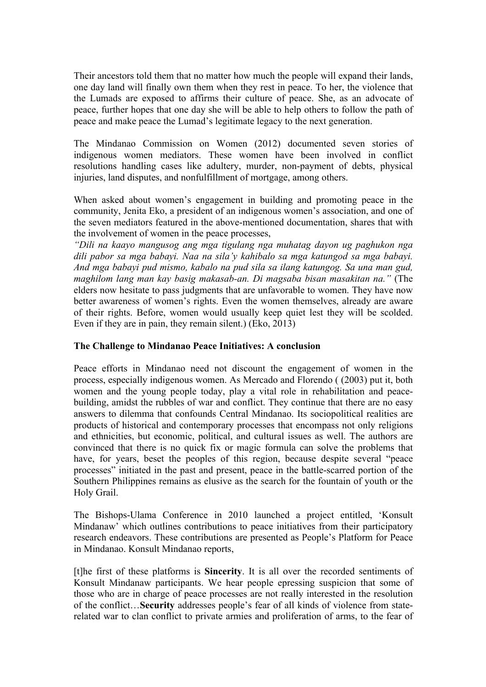Their ancestors told them that no matter how much the people will expand their lands, one day land will finally own them when they rest in peace. To her, the violence that the Lumads are exposed to affirms their culture of peace. She, as an advocate of peace, further hopes that one day she will be able to help others to follow the path of peace and make peace the Lumad's legitimate legacy to the next generation.

The Mindanao Commission on Women (2012) documented seven stories of indigenous women mediators. These women have been involved in conflict resolutions handling cases like adultery, murder, non-payment of debts, physical injuries, land disputes, and nonfulfillment of mortgage, among others.

When asked about women's engagement in building and promoting peace in the community, Jenita Eko, a president of an indigenous women's association, and one of the seven mediators featured in the above-mentioned documentation, shares that with the involvement of women in the peace processes,

*"Dili na kaayo mangusog ang mga tigulang nga muhatag dayon ug paghukon nga dili pabor sa mga babayi. Naa na sila'y kahibalo sa mga katungod sa mga babayi. And mga babayi pud mismo, kabalo na pud sila sa ilang katungog. Sa una man gud, maghilom lang man kay basig makasab-an. Di magsaba bisan masakitan na."* (The elders now hesitate to pass judgments that are unfavorable to women. They have now better awareness of women's rights. Even the women themselves, already are aware of their rights. Before, women would usually keep quiet lest they will be scolded. Even if they are in pain, they remain silent.) (Eko, 2013)

# **The Challenge to Mindanao Peace Initiatives: A conclusion**

Peace efforts in Mindanao need not discount the engagement of women in the process, especially indigenous women. As Mercado and Florendo ( (2003) put it, both women and the young people today, play a vital role in rehabilitation and peacebuilding, amidst the rubbles of war and conflict. They continue that there are no easy answers to dilemma that confounds Central Mindanao. Its sociopolitical realities are products of historical and contemporary processes that encompass not only religions and ethnicities, but economic, political, and cultural issues as well. The authors are convinced that there is no quick fix or magic formula can solve the problems that have, for years, beset the peoples of this region, because despite several "peace processes" initiated in the past and present, peace in the battle-scarred portion of the Southern Philippines remains as elusive as the search for the fountain of youth or the Holy Grail.

The Bishops-Ulama Conference in 2010 launched a project entitled, 'Konsult Mindanaw' which outlines contributions to peace initiatives from their participatory research endeavors. These contributions are presented as People's Platform for Peace in Mindanao. Konsult Mindanao reports,

[t]he first of these platforms is **Sincerity**. It is all over the recorded sentiments of Konsult Mindanaw participants. We hear people epressing suspicion that some of those who are in charge of peace processes are not really interested in the resolution of the conflict…**Security** addresses people's fear of all kinds of violence from staterelated war to clan conflict to private armies and proliferation of arms, to the fear of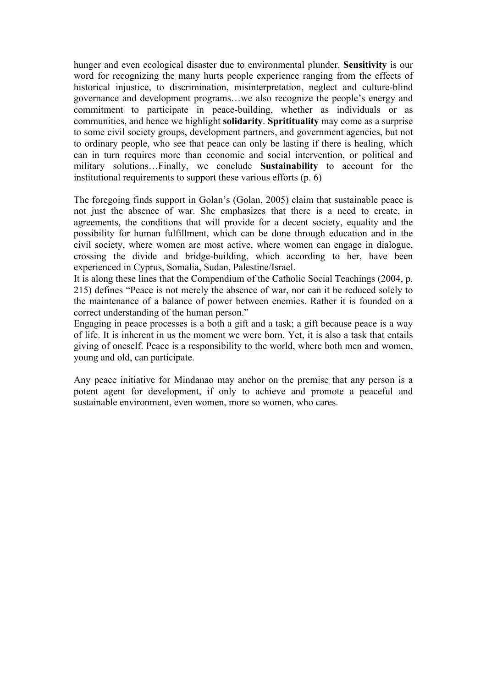hunger and even ecological disaster due to environmental plunder. **Sensitivity** is our word for recognizing the many hurts people experience ranging from the effects of historical injustice, to discrimination, misinterpretation, neglect and culture-blind governance and development programs…we also recognize the people's energy and commitment to participate in peace-building, whether as individuals or as communities, and hence we highlight **solidarity**. **Spritituality** may come as a surprise to some civil society groups, development partners, and government agencies, but not to ordinary people, who see that peace can only be lasting if there is healing, which can in turn requires more than economic and social intervention, or political and military solutions…Finally, we conclude **Sustainability** to account for the institutional requirements to support these various efforts (p. 6)

The foregoing finds support in Golan's (Golan, 2005) claim that sustainable peace is not just the absence of war. She emphasizes that there is a need to create, in agreements, the conditions that will provide for a decent society, equality and the possibility for human fulfillment, which can be done through education and in the civil society, where women are most active, where women can engage in dialogue, crossing the divide and bridge-building, which according to her, have been experienced in Cyprus, Somalia, Sudan, Palestine/Israel.

It is along these lines that the Compendium of the Catholic Social Teachings (2004, p. 215) defines "Peace is not merely the absence of war, nor can it be reduced solely to the maintenance of a balance of power between enemies. Rather it is founded on a correct understanding of the human person."

Engaging in peace processes is a both a gift and a task; a gift because peace is a way of life. It is inherent in us the moment we were born. Yet, it is also a task that entails giving of oneself. Peace is a responsibility to the world, where both men and women, young and old, can participate.

Any peace initiative for Mindanao may anchor on the premise that any person is a potent agent for development, if only to achieve and promote a peaceful and sustainable environment, even women, more so women, who cares.